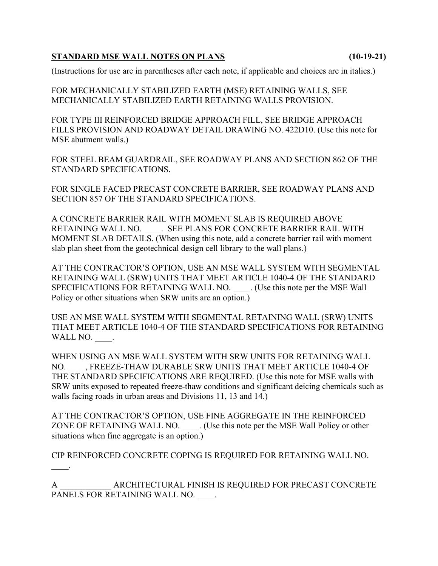## **STANDARD MSE WALL NOTES ON PLANS (10-19-21)**

(Instructions for use are in parentheses after each note, if applicable and choices are in italics.)

FOR MECHANICALLY STABILIZED EARTH (MSE) RETAINING WALLS, SEE MECHANICALLY STABILIZED EARTH RETAINING WALLS PROVISION.

FOR TYPE III REINFORCED BRIDGE APPROACH FILL, SEE BRIDGE APPROACH FILLS PROVISION AND ROADWAY DETAIL DRAWING NO. 422D10. (Use this note for MSE abutment walls.)

FOR STEEL BEAM GUARDRAIL, SEE ROADWAY PLANS AND SECTION 862 OF THE STANDARD SPECIFICATIONS.

FOR SINGLE FACED PRECAST CONCRETE BARRIER, SEE ROADWAY PLANS AND SECTION 857 OF THE STANDARD SPECIFICATIONS.

A CONCRETE BARRIER RAIL WITH MOMENT SLAB IS REQUIRED ABOVE RETAINING WALL NO. SEE PLANS FOR CONCRETE BARRIER RAIL WITH MOMENT SLAB DETAILS. (When using this note, add a concrete barrier rail with moment slab plan sheet from the geotechnical design cell library to the wall plans.)

AT THE CONTRACTOR'S OPTION, USE AN MSE WALL SYSTEM WITH SEGMENTAL RETAINING WALL (SRW) UNITS THAT MEET ARTICLE 1040-4 OF THE STANDARD SPECIFICATIONS FOR RETAINING WALL NO. (Use this note per the MSE Wall Policy or other situations when SRW units are an option.)

USE AN MSE WALL SYSTEM WITH SEGMENTAL RETAINING WALL (SRW) UNITS THAT MEET ARTICLE 1040-4 OF THE STANDARD SPECIFICATIONS FOR RETAINING WALL NO.  $\qquad$ .

WHEN USING AN MSE WALL SYSTEM WITH SRW UNITS FOR RETAINING WALL NO. \_\_\_\_, FREEZE-THAW DURABLE SRW UNITS THAT MEET ARTICLE 1040-4 OF THE STANDARD SPECIFICATIONS ARE REQUIRED. (Use this note for MSE walls with SRW units exposed to repeated freeze-thaw conditions and significant deicing chemicals such as walls facing roads in urban areas and Divisions 11, 13 and 14.)

AT THE CONTRACTOR'S OPTION, USE FINE AGGREGATE IN THE REINFORCED ZONE OF RETAINING WALL NO. \_\_\_\_. (Use this note per the MSE Wall Policy or other situations when fine aggregate is an option.)

CIP REINFORCED CONCRETE COPING IS REQUIRED FOR RETAINING WALL NO.

 $\mathbb{Z}^2$ 

A \_\_\_\_\_\_\_\_\_\_\_\_ ARCHITECTURAL FINISH IS REQUIRED FOR PRECAST CONCRETE PANELS FOR RETAINING WALL NO.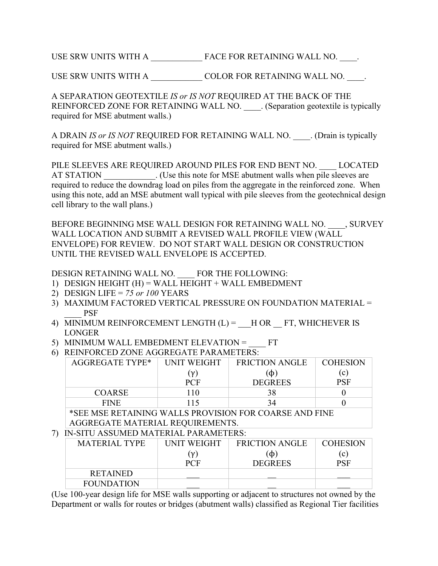USE SRW UNITS WITH A \_\_\_\_\_\_\_\_\_\_\_\_ FACE FOR RETAINING WALL NO. \_\_\_\_.

USE SRW UNITS WITH A \_\_\_\_\_\_\_\_\_\_\_\_ COLOR FOR RETAINING WALL NO. \_\_\_\_.

A SEPARATION GEOTEXTILE *IS or IS NOT* REQUIRED AT THE BACK OF THE REINFORCED ZONE FOR RETAINING WALL NO. (Separation geotextile is typically required for MSE abutment walls.)

A DRAIN *IS or IS NOT* REQUIRED FOR RETAINING WALL NO. (Drain is typically required for MSE abutment walls.)

PILE SLEEVES ARE REQUIRED AROUND PILES FOR END BENT NO. LOCATED AT STATION (Use this note for MSE abutment walls when pile sleeves are required to reduce the downdrag load on piles from the aggregate in the reinforced zone. When using this note, add an MSE abutment wall typical with pile sleeves from the geotechnical design cell library to the wall plans.)

BEFORE BEGINNING MSE WALL DESIGN FOR RETAINING WALL NO. , SURVEY WALL LOCATION AND SUBMIT A REVISED WALL PROFILE VIEW (WALL ENVELOPE) FOR REVIEW. DO NOT START WALL DESIGN OR CONSTRUCTION UNTIL THE REVISED WALL ENVELOPE IS ACCEPTED.

DESIGN RETAINING WALL NO. \_\_\_\_ FOR THE FOLLOWING:

- 1) DESIGN HEIGHT  $(H)$  = WALL HEIGHT + WALL EMBEDMENT
- 2) DESIGN LIFE = *75 or 100* YEARS
- 3) MAXIMUM FACTORED VERTICAL PRESSURE ON FOUNDATION MATERIAL = \_\_\_\_ PSF
- 4) MINIMUM REINFORCEMENT LENGTH  $(L)$  =  $\quad$  H OR  $\quad$  FT, WHICHEVER IS LONGER
- 5) MINIMUM WALL EMBEDMENT ELEVATION =  $FT$
- 6) REINFORCED ZONE AGGREGATE PARAMETERS:

| AGGREGATE TYPE* | <b>UNIT WEIGHT</b> | <b>FRICTION ANGLE</b> | <b>COHESION</b> |
|-----------------|--------------------|-----------------------|-----------------|
|                 | $(\nu)$            | (ф)                   | (c)             |
|                 | <b>PCF</b>         | <b>DEGREES</b>        | PSF             |
| <b>COARSE</b>   | 110                | 38                    |                 |
| <b>FINE</b>     | 115                | 34                    |                 |

\*SEE MSE RETAINING WALLS PROVISION FOR COARSE AND FINE AGGREGATE MATERIAL REQUIREMENTS.

## 7) IN-SITU ASSUMED MATERIAL PARAMETERS:

| MATERIAL TYPE     | <b>UNIT WEIGHT</b> | <b>FRICTION ANGLE</b> | <b>COHESION</b> |
|-------------------|--------------------|-----------------------|-----------------|
|                   | 'ν)                | (ф)                   | (c)             |
|                   | <b>PCF</b>         | <b>DEGREES</b>        | PSF             |
| <b>RETAINED</b>   |                    |                       |                 |
| <b>FOUNDATION</b> |                    |                       |                 |

(Use 100-year design life for MSE walls supporting or adjacent to structures not owned by the Department or walls for routes or bridges (abutment walls) classified as Regional Tier facilities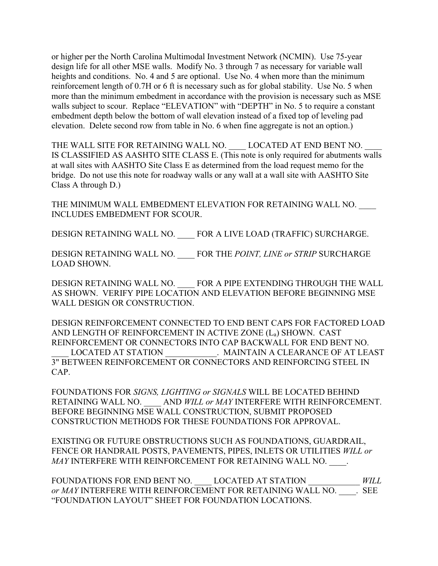or higher per the North Carolina Multimodal Investment Network (NCMIN). Use 75-year design life for all other MSE walls. Modify No. 3 through 7 as necessary for variable wall heights and conditions. No. 4 and 5 are optional. Use No. 4 when more than the minimum reinforcement length of 0.7H or 6 ft is necessary such as for global stability. Use No. 5 when more than the minimum embedment in accordance with the provision is necessary such as MSE walls subject to scour. Replace "ELEVATION" with "DEPTH" in No. 5 to require a constant embedment depth below the bottom of wall elevation instead of a fixed top of leveling pad elevation. Delete second row from table in No. 6 when fine aggregate is not an option.)

THE WALL SITE FOR RETAINING WALL NO. LOCATED AT END BENT NO. IS CLASSIFIED AS AASHTO SITE CLASS E. (This note is only required for abutments walls at wall sites with AASHTO Site Class E as determined from the load request memo for the bridge. Do not use this note for roadway walls or any wall at a wall site with AASHTO Site Class A through D.)

THE MINIMUM WALL EMBEDMENT ELEVATION FOR RETAINING WALL NO. INCLUDES EMBEDMENT FOR SCOUR.

DESIGN RETAINING WALL NO. FOR A LIVE LOAD (TRAFFIC) SURCHARGE.

DESIGN RETAINING WALL NO. \_\_\_\_ FOR THE *POINT, LINE or STRIP* SURCHARGE LOAD SHOWN.

DESIGN RETAINING WALL NO. FOR A PIPE EXTENDING THROUGH THE WALL AS SHOWN. VERIFY PIPE LOCATION AND ELEVATION BEFORE BEGINNING MSE WALL DESIGN OR CONSTRUCTION.

DESIGN REINFORCEMENT CONNECTED TO END BENT CAPS FOR FACTORED LOAD AND LENGTH OF REINFORCEMENT IN ACTIVE ZONE (La) SHOWN. CAST REINFORCEMENT OR CONNECTORS INTO CAP BACKWALL FOR END BENT NO. LOCATED AT STATION . MAINTAIN A CLEARANCE OF AT LEAST 3" BETWEEN REINFORCEMENT OR CONNECTORS AND REINFORCING STEEL IN CAP.

FOUNDATIONS FOR *SIGNS, LIGHTING or SIGNALS* WILL BE LOCATED BEHIND RETAINING WALL NO. \_\_\_\_ AND *WILL or MAY* INTERFERE WITH REINFORCEMENT. BEFORE BEGINNING MSE WALL CONSTRUCTION, SUBMIT PROPOSED CONSTRUCTION METHODS FOR THESE FOUNDATIONS FOR APPROVAL.

EXISTING OR FUTURE OBSTRUCTIONS SUCH AS FOUNDATIONS, GUARDRAIL, FENCE OR HANDRAIL POSTS, PAVEMENTS, PIPES, INLETS OR UTILITIES *WILL or MAY* INTERFERE WITH REINFORCEMENT FOR RETAINING WALL NO.

FOUNDATIONS FOR END BENT NO. \_\_\_\_ LOCATED AT STATION \_\_\_\_\_\_\_\_\_\_\_\_ *WILL or MAY* INTERFERE WITH REINFORCEMENT FOR RETAINING WALL NO. \_\_\_\_\_. SEE "FOUNDATION LAYOUT" SHEET FOR FOUNDATION LOCATIONS.